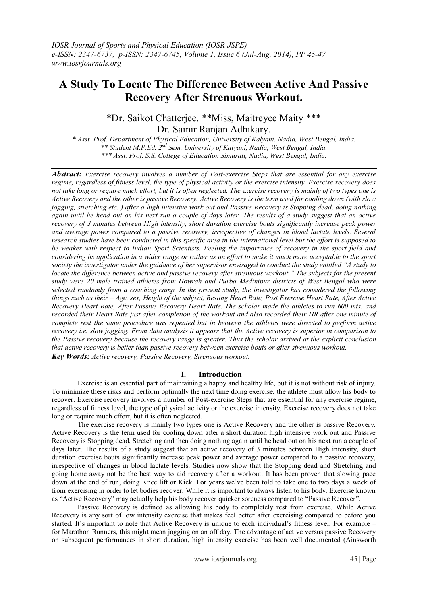## **A Study To Locate The Difference Between Active And Passive Recovery After Strenuous Workout.**

\*Dr. Saikot Chatterjee. \*\*Miss, Maitreyee Maity \*\*\* Dr. Samir Ranjan Adhikary.

*\* Asst. Prof. Department of Physical Education, University of Kalyani. Nadia, West Bengal, India. \*\* Student M.P.Ed. 2nd Sem. University of Kalyani, Nadia, West Bengal, India. \*\*\* Asst. Prof. S.S. College of Education Simurali, Nadia, West Bengal, India.*

*Abstract: Exercise recovery involves a number of Post-exercise Steps that are essential for any exercise regime, regardless of fitness level, the type of physical activity or the exercise intensity. Exercise recovery does not take long or require much effort, but it is often neglected. The exercise recovery is mainly of two types one is Active Recovery and the other is passive Recovery. Active Recovery is the term used for cooling down (with slow jogging, stretching etc.) after a high intensive work out and Passive Recovery is Stopping dead, doing nothing again until he head out on his next run a couple of days later. The results of a study suggest that an active recovery of 3 minutes between High intensity, short duration exercise bouts significantly increase peak power and average power compared to a passive recovery, irrespective of changes in blood lactate levels. Several research studies have been conducted in this specific area in the international level but the effort is supposed to be weaker with respect to Indian Sport Scientists. Feeling the importance of recovery in the sport field and considering its application in a wider range or rather as an effort to make it much more acceptable to the sport society the investigator under the guidance of her supervisor envisaged to conduct the study entitled "A study to locate the difference between active and passive recovery after strenuous workout." The subjects for the present study were 20 male trained athletes from Howrah and Purba Medinipur districts of West Bengal who were selected randomly from a coaching camp. In the present study, the investigator has considered the following things such as their – Age, sex, Height of the subject, Resting Heart Rate, Post Exercise Heart Rate, After Active Recovery Heart Rate, After Passive Recovery Heart Rate. The scholar made the athletes to run 600 mts. and recorded their Heart Rate just after completion of the workout and also recorded their HR after one minute of complete rest the same procedure was repeated but in between the athletes were directed to perform active recovery i.e. slow jogging. From data analysis it appears that the Active recovery is superior in comparison to the Passive recovery because the recovery range is greater. Thus the scholar arrived at the explicit conclusion that active recovery is better than passive recovery between exercise bouts or after strenuous workout.*

*Key Words: Active recovery, Passive Recovery, Strenuous workout.*

## **I. Introduction**

Exercise is an essential part of maintaining a happy and healthy life, but it is not without risk of injury. To minimize these risks and perform optimally the next time doing exercise, the athlete must allow his body to recover. Exercise recovery involves a number of Post-exercise Steps that are essential for any exercise regime, regardless of fitness level, the type of physical activity or the exercise intensity. Exercise recovery does not take long or require much effort, but it is often neglected.

The exercise recovery is mainly two types one is Active Recovery and the other is passive Recovery. Active Recovery is the term used for cooling down after a short duration high intensive work out and Passive Recovery is Stopping dead, Stretching and then doing nothing again until he head out on his next run a couple of days later. The results of a study suggest that an active recovery of 3 minutes between High intensity, short duration exercise bouts significantly increase peak power and average power compared to a passive recovery, irrespective of changes in blood lactate levels. Studies now show that the Stopping dead and Stretching and going home away not be the best way to aid recovery after a workout. It has been proven that slowing pace down at the end of run, doing Knee lift or Kick. For years we've been told to take one to two days a week of from exercising in order to let bodies recover. While it is important to always listen to his body. Exercise known as "Active Recovery" may actually help his body recover quicker soreness compared to "Passive Recover".

Passive Recovery is defined as allowing his body to completely rest from exercise. While Active Recovery is any sort of low intensity exercise that makes feel better after exercising compared to before you started. It's important to note that Active Recovery is unique to each individual's fitness level. For example – for Marathon Runners, this might mean jogging on an off day. The advantage of active versus passive Recovery on subsequent performances in short duration, high intensity exercise has been well documented (Ainsworth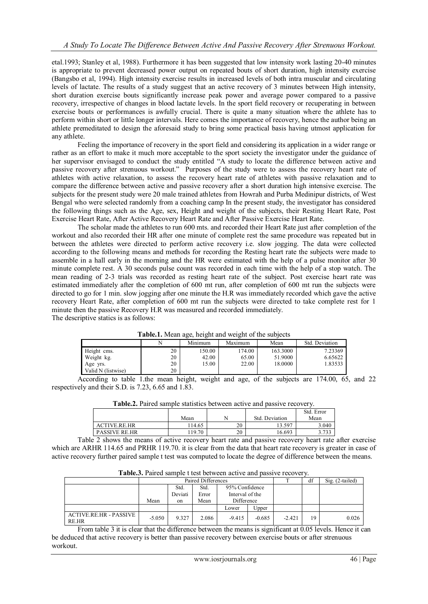etal.1993; Stanley et al, 1988). Furthermore it has been suggested that low intensity work lasting 20-40 minutes is appropriate to prevent decreased power output on repeated bouts of short duration, high intensity exercise (Bangsbo et al, 1994). High intensity exercise results in increased levels of both intra muscular and circulating levels of lactate. The results of a study suggest that an active recovery of 3 minutes between High intensity, short duration exercise bouts significantly increase peak power and average power compared to a passive recovery, irrespective of changes in blood lactate levels. In the sport field recovery or recuperating in between exercise bouts or performances is awfully crucial. There is quite a many situation where the athlete has to perform within short or little longer intervals. Here comes the importance of recovery, hence the author being an athlete premeditated to design the aforesaid study to bring some practical basis having utmost application for any athlete.

Feeling the importance of recovery in the sport field and considering its application in a wider range or rather as an effort to make it much more acceptable to the sport society the investigator under the guidance of her supervisor envisaged to conduct the study entitled "A study to locate the difference between active and passive recovery after strenuous workout." Purposes of the study were to assess the recovery heart rate of athletes with active relaxation, to assess the recovery heart rate of athletes with passive relaxation and to compare the difference between active and passive recovery after a short duration high intensive exercise. The subjects for the present study were 20 male trained athletes from Howrah and Purba Medinipur districts, of West Bengal who were selected randomly from a coaching camp In the present study, the investigator has considered the following things such as the Age, sex, Height and weight of the subjects, their Resting Heart Rate, Post Exercise Heart Rate, After Active Recovery Heart Rate and After Passive Exercise Heart Rate.

The scholar made the athletes to run 600 mts. and recorded their Heart Rate just after completion of the workout and also recorded their HR after one minute of complete rest the same procedure was repeated but in between the athletes were directed to perform active recovery i.e. slow jogging. The data were collected according to the following means and methods for recording the Resting heart rate the subjects were made to assemble in a hall early in the morning and the HR were estimated with the help of a pulse monitor after 30 minute complete rest. A 30 seconds pulse count was recorded in each time with the help of a stop watch. The mean reading of 2-3 trials was recorded as resting heart rate of the subject. Post exercise heart rate was estimated immediately after the completion of 600 mt run, after completion of 600 mt run the subjects were directed to go for 1 min. slow jogging after one minute the H.R was immediately recorded which gave the active recovery Heart Rate, after completion of 600 mt run the subjects were directed to take complete rest for 1 minute then the passive Recovery H.R was measured and recorded immediately. The descriptive statics is as follows:

| <b>I able.1.</b> Mean age, neight and weight of the subjects |    |         |         |          |                |  |  |  |
|--------------------------------------------------------------|----|---------|---------|----------|----------------|--|--|--|
|                                                              |    | Minimum | Maximum | Mean     | Std. Deviation |  |  |  |
| Height cms.                                                  | 20 | 150.00  | 174.00  | 163.3000 | 7.23369        |  |  |  |
| Weight kg.                                                   | 20 | 42.00   | 65.00   | 51.9000  | 6.65622        |  |  |  |
| Age yrs.                                                     | 20 | 15.00   | 22.00   | 18.0000  | 1.83533        |  |  |  |
| Valid N (listwise)                                           | 20 |         |         |          |                |  |  |  |

**Table.1.** Mean age, height and weight of the subjects

According to table 1.the mean height, weight and age, of the subjects are 174.00, 65, and 22 respectively and their S.D. is 7.23, 6.65 and 1.83.

| <b>Table.2.</b> I all cu satilitic statistics between active and passive recovery. |        |    |                |            |  |  |  |  |
|------------------------------------------------------------------------------------|--------|----|----------------|------------|--|--|--|--|
|                                                                                    |        |    |                | Std. Error |  |  |  |  |
|                                                                                    | Mean   |    | Std. Deviation | Mean       |  |  |  |  |
| ACTIVE.RE.HR                                                                       | 114.65 | 20 | 13.597         | 3.040      |  |  |  |  |
| <b>PASSIVE RE.HR</b>                                                               | 19.70  | 20 | 16.693         | 3.733      |  |  |  |  |

**Table.2.** Paired sample statistics between active and passive recovery.

Table 2 shows the means of active recovery heart rate and passive recovery heart rate after exercise which are ARHR 114.65 and PRHR 119.70. it is clear from the data that heart rate recovery is greater in case of active recovery further paired sample t test was computed to locate the degree of difference between the means.

| Table.3. Paired sample t test between active and passive recovery. |  |  |  |  |
|--------------------------------------------------------------------|--|--|--|--|
|                                                                    |  |  |  |  |

|                                        | Paired Differences |                 |               |                                   |          |          | df | $Sig. (2-tailed)$ |
|----------------------------------------|--------------------|-----------------|---------------|-----------------------------------|----------|----------|----|-------------------|
|                                        |                    | Std.<br>Deviati | Std.<br>Error | 95% Confidence<br>Interval of the |          |          |    |                   |
|                                        | Mean               | on              | Mean          | Difference                        |          |          |    |                   |
|                                        |                    |                 |               | Lower                             | Upper    |          |    |                   |
| <b>ACTIVE.RE.HR - PASSIVE</b><br>RE.HR | $-5.050$           | 9.327           | 2.086         | $-9.415$                          | $-0.685$ | $-2.421$ | 19 | 0.026             |

From table 3 it is clear that the difference between the means is significant at 0.05 levels. Hence it can be deduced that active recovery is better than passive recovery between exercise bouts or after strenuous workout.